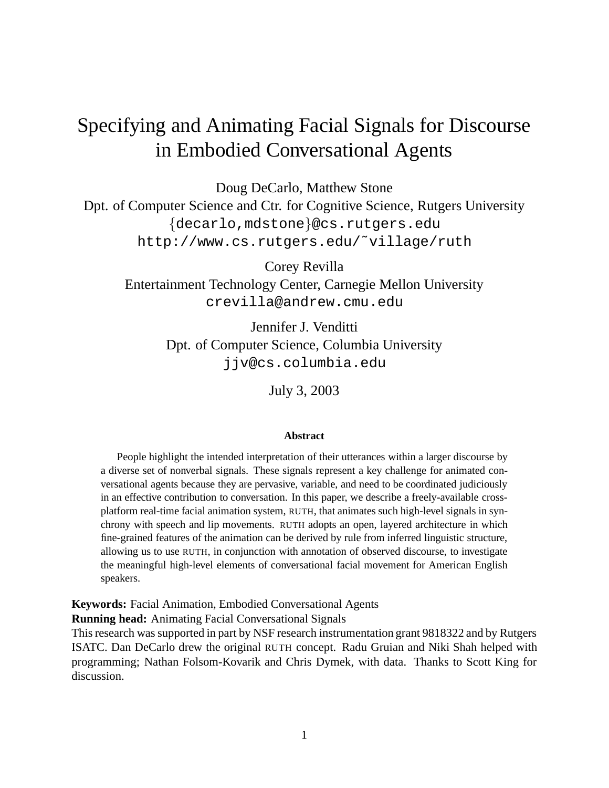# Specifying and Animating Facial Signals for Discourse in Embodied Conversational Agents

Doug DeCarlo, Matthew Stone

Dpt. of Computer Science and Ctr. for Cognitive Science, Rutgers University {decarlo,mdstone}@cs.rutgers.edu http://www.cs.rutgers.edu/˜village/ruth

Corey Revilla Entertainment Technology Center, Carnegie Mellon University crevilla@andrew.cmu.edu

> Jennifer J. Venditti Dpt. of Computer Science, Columbia University jjv@cs.columbia.edu

> > July 3, 2003

#### **Abstract**

People highlight the intended interpretation of their utterances within a larger discourse by a diverse set of nonverbal signals. These signals represent a key challenge for animated conversational agents because they are pervasive, variable, and need to be coordinated judiciously in an effective contribution to conversation. In this paper, we describe a freely-available crossplatform real-time facial animation system, RUTH, that animates such high-level signals in synchrony with speech and lip movements. RUTH adopts an open, layered architecture in which fine-grained features of the animation can be derived by rule from inferred linguistic structure, allowing us to use RUTH, in conjunction with annotation of observed discourse, to investigate the meaningful high-level elements of conversational facial movement for American English speakers.

**Keywords:** Facial Animation, Embodied Conversational Agents **Running head:** Animating Facial Conversational Signals

This research was supported in part by NSF research instrumentation grant 9818322 and by Rutgers ISATC. Dan DeCarlo drew the original RUTH concept. Radu Gruian and Niki Shah helped with programming; Nathan Folsom-Kovarik and Chris Dymek, with data. Thanks to Scott King for discussion.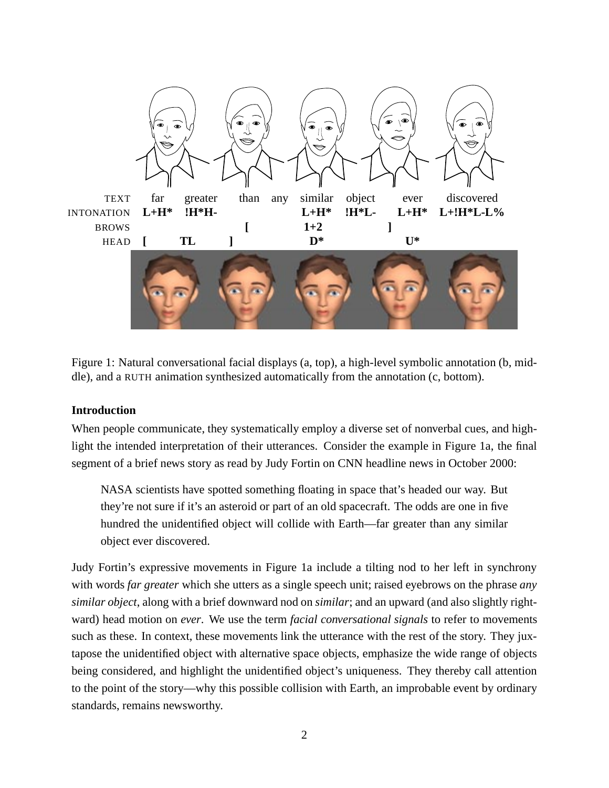

Figure 1: Natural conversational facial displays (a, top), a high-level symbolic annotation (b, middle), and a RUTH animation synthesized automatically from the annotation (c, bottom).

# **Introduction**

When people communicate, they systematically employ a diverse set of nonverbal cues, and highlight the intended interpretation of their utterances. Consider the example in Figure 1a, the final segment of a brief news story as read by Judy Fortin on CNN headline news in October 2000:

NASA scientists have spotted something floating in space that's headed our way. But they're not sure if it's an asteroid or part of an old spacecraft. The odds are one in five hundred the unidentified object will collide with Earth—far greater than any similar object ever discovered.

Judy Fortin's expressive movements in Figure 1a include a tilting nod to her left in synchrony with words *far greater* which she utters as a single speech unit; raised eyebrows on the phrase *any similar object*, along with a brief downward nod on *similar*; and an upward (and also slightly rightward) head motion on *ever*. We use the term *facial conversational signals* to refer to movements such as these. In context, these movements link the utterance with the rest of the story. They juxtapose the unidentified object with alternative space objects, emphasize the wide range of objects being considered, and highlight the unidentified object's uniqueness. They thereby call attention to the point of the story—why this possible collision with Earth, an improbable event by ordinary standards, remains newsworthy.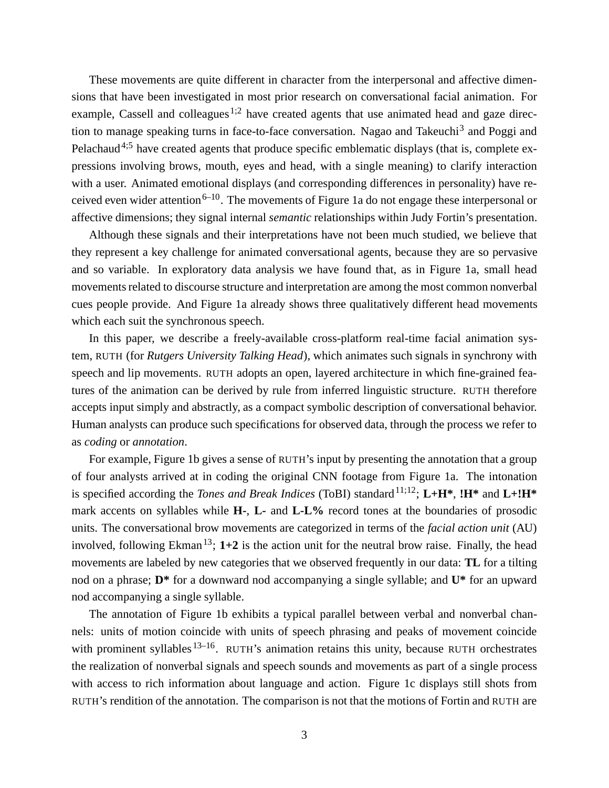These movements are quite different in character from the interpersonal and affective dimensions that have been investigated in most prior research on conversational facial animation. For example, Cassell and colleagues<sup>1;2</sup> have created agents that use animated head and gaze direction to manage speaking turns in face-to-face conversation. Nagao and Takeuchi<sup>3</sup> and Poggi and Pelachaud<sup>4;5</sup> have created agents that produce specific emblematic displays (that is, complete expressions involving brows, mouth, eyes and head, with a single meaning) to clarify interaction with a user. Animated emotional displays (and corresponding differences in personality) have received even wider attention<sup>6–10</sup>. The movements of Figure 1a do not engage these interpersonal or affective dimensions; they signal internal *semantic* relationships within Judy Fortin's presentation.

Although these signals and their interpretations have not been much studied, we believe that they represent a key challenge for animated conversational agents, because they are so pervasive and so variable. In exploratory data analysis we have found that, as in Figure 1a, small head movements related to discourse structure and interpretation are among the most common nonverbal cues people provide. And Figure 1a already shows three qualitatively different head movements which each suit the synchronous speech.

In this paper, we describe a freely-available cross-platform real-time facial animation system, RUTH (for *Rutgers University Talking Head*), which animates such signals in synchrony with speech and lip movements. RUTH adopts an open, layered architecture in which fine-grained features of the animation can be derived by rule from inferred linguistic structure. RUTH therefore accepts input simply and abstractly, as a compact symbolic description of conversational behavior. Human analysts can produce such specifications for observed data, through the process we refer to as *coding* or *annotation*.

For example, Figure 1b gives a sense of RUTH's input by presenting the annotation that a group of four analysts arrived at in coding the original CNN footage from Figure 1a. The intonation is specified according the *Tones and Break Indices* (ToBI) standard<sup>11;12</sup>;  $L+H^*$ ,  $H^*$  and  $L+H^*$ mark accents on syllables while **H-**, **L-** and **L-L%** record tones at the boundaries of prosodic units. The conversational brow movements are categorized in terms of the *facial action unit* (AU) involved, following Ekman<sup>13</sup>;  $1+2$  is the action unit for the neutral brow raise. Finally, the head movements are labeled by new categories that we observed frequently in our data: **TL** for a tilting nod on a phrase; **D\*** for a downward nod accompanying a single syllable; and **U\*** for an upward nod accompanying a single syllable.

The annotation of Figure 1b exhibits a typical parallel between verbal and nonverbal channels: units of motion coincide with units of speech phrasing and peaks of movement coincide with prominent syllables<sup>13-16</sup>. RUTH's animation retains this unity, because RUTH orchestrates the realization of nonverbal signals and speech sounds and movements as part of a single process with access to rich information about language and action. Figure 1c displays still shots from RUTH's rendition of the annotation. The comparison is not that the motions of Fortin and RUTH are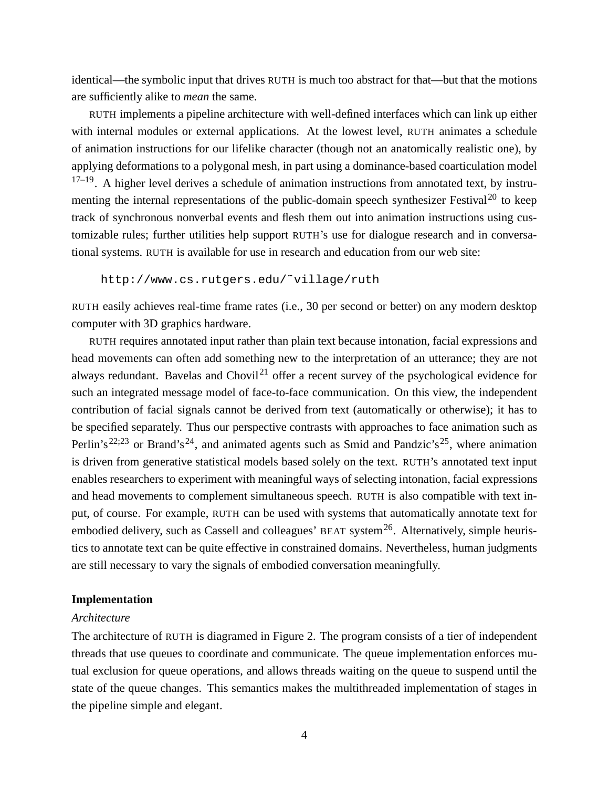identical—the symbolic input that drives RUTH is much too abstract for that—but that the motions are sufficiently alike to *mean* the same.

RUTH implements a pipeline architecture with well-defined interfaces which can link up either with internal modules or external applications. At the lowest level, RUTH animates a schedule of animation instructions for our lifelike character (though not an anatomically realistic one), by applying deformations to a polygonal mesh, in part using a dominance-based coarticulation model  $17-19$ . A higher level derives a schedule of animation instructions from annotated text, by instrumenting the internal representations of the public-domain speech synthesizer Festival<sup>20</sup> to keep track of synchronous nonverbal events and flesh them out into animation instructions using customizable rules; further utilities help support RUTH's use for dialogue research and in conversational systems. RUTH is available for use in research and education from our web site:

http://www.cs.rutgers.edu/˜village/ruth

RUTH easily achieves real-time frame rates (i.e., 30 per second or better) on any modern desktop computer with 3D graphics hardware.

RUTH requires annotated input rather than plain text because intonation, facial expressions and head movements can often add something new to the interpretation of an utterance; they are not always redundant. Bavelas and Chovil<sup>21</sup> offer a recent survey of the psychological evidence for such an integrated message model of face-to-face communication. On this view, the independent contribution of facial signals cannot be derived from text (automatically or otherwise); it has to be specified separately. Thus our perspective contrasts with approaches to face animation such as Perlin's<sup>22;23</sup> or Brand's<sup>24</sup>, and animated agents such as Smid and Pandzic's<sup>25</sup>, where animation is driven from generative statistical models based solely on the text. RUTH's annotated text input enables researchers to experiment with meaningful ways of selecting intonation, facial expressions and head movements to complement simultaneous speech. RUTH is also compatible with text input, of course. For example, RUTH can be used with systems that automatically annotate text for embodied delivery, such as Cassell and colleagues' BEAT system<sup>26</sup>. Alternatively, simple heuristics to annotate text can be quite effective in constrained domains. Nevertheless, human judgments are still necessary to vary the signals of embodied conversation meaningfully.

## **Implementation**

# *Architecture*

The architecture of RUTH is diagramed in Figure 2. The program consists of a tier of independent threads that use queues to coordinate and communicate. The queue implementation enforces mutual exclusion for queue operations, and allows threads waiting on the queue to suspend until the state of the queue changes. This semantics makes the multithreaded implementation of stages in the pipeline simple and elegant.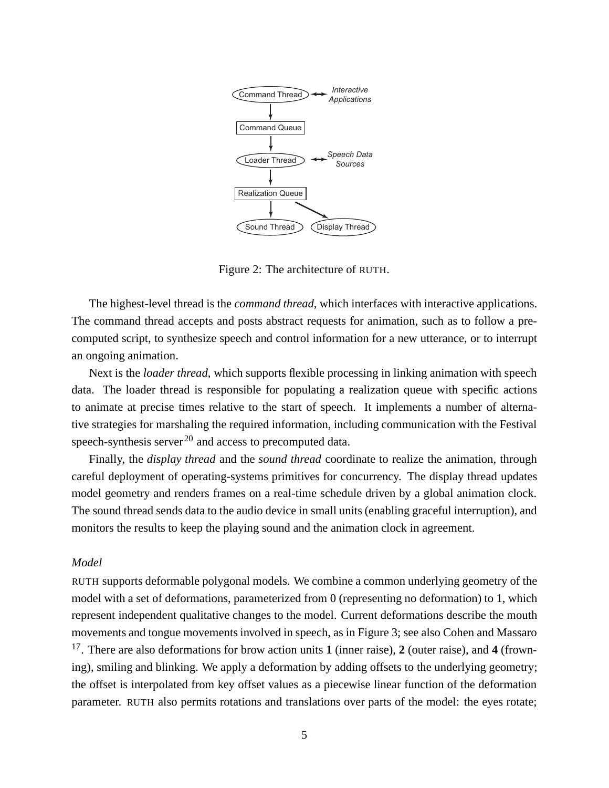

Figure 2: The architecture of RUTH.

The highest-level thread is the *command thread*, which interfaces with interactive applications. The command thread accepts and posts abstract requests for animation, such as to follow a precomputed script, to synthesize speech and control information for a new utterance, or to interrupt an ongoing animation.

Next is the *loader thread*, which supports flexible processing in linking animation with speech data. The loader thread is responsible for populating a realization queue with specific actions to animate at precise times relative to the start of speech. It implements a number of alternative strategies for marshaling the required information, including communication with the Festival speech-synthesis server<sup>20</sup> and access to precomputed data.

Finally, the *display thread* and the *sound thread* coordinate to realize the animation, through careful deployment of operating-systems primitives for concurrency. The display thread updates model geometry and renders frames on a real-time schedule driven by a global animation clock. The sound thread sends data to the audio device in small units (enabling graceful interruption), and monitors the results to keep the playing sound and the animation clock in agreement.

# *Model*

RUTH supports deformable polygonal models. We combine a common underlying geometry of the model with a set of deformations, parameterized from 0 (representing no deformation) to 1, which represent independent qualitative changes to the model. Current deformations describe the mouth movements and tongue movements involved in speech, as in Figure 3; see also Cohen and Massaro 17. There are also deformations for brow action units **1** (inner raise), **2** (outer raise), and **4** (frowning), smiling and blinking. We apply a deformation by adding offsets to the underlying geometry; the offset is interpolated from key offset values as a piecewise linear function of the deformation parameter. RUTH also permits rotations and translations over parts of the model: the eyes rotate;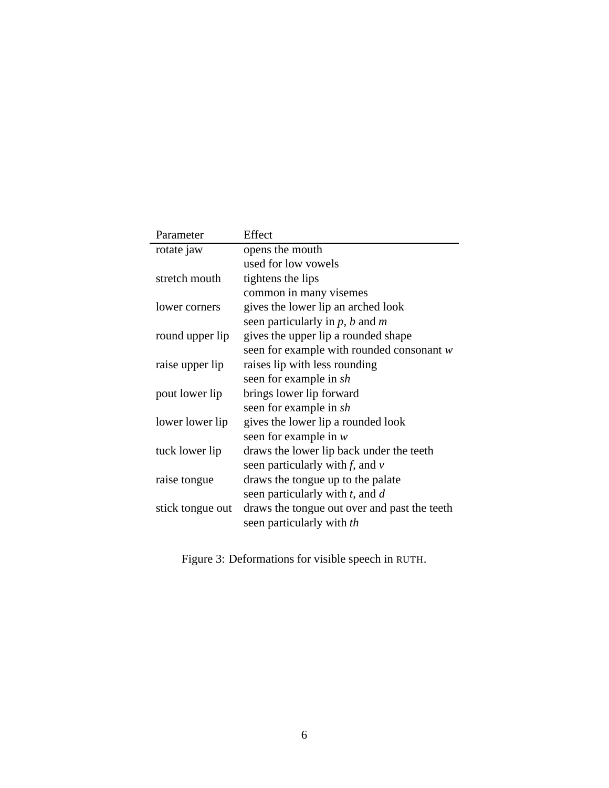| Parameter        | Effect                                       |
|------------------|----------------------------------------------|
| rotate jaw       | opens the mouth                              |
|                  | used for low vowels                          |
| stretch mouth    | tightens the lips                            |
|                  | common in many visemes                       |
| lower corners    | gives the lower lip an arched look           |
|                  | seen particularly in $p$ , $b$ and $m$       |
| round upper lip  | gives the upper lip a rounded shape          |
|                  | seen for example with rounded consonant $w$  |
| raise upper lip  | raises lip with less rounding                |
|                  | seen for example in sh                       |
| pout lower lip   | brings lower lip forward                     |
|                  | seen for example in sh                       |
| lower lower lip  | gives the lower lip a rounded look           |
|                  | seen for example in $w$                      |
| tuck lower lip   | draws the lower lip back under the teeth     |
|                  | seen particularly with $f$ , and $v$         |
| raise tongue     | draws the tongue up to the palate            |
|                  | seen particularly with t, and d              |
| stick tongue out | draws the tongue out over and past the teeth |
|                  | seen particularly with th                    |

Figure 3: Deformations for visible speech in RUTH.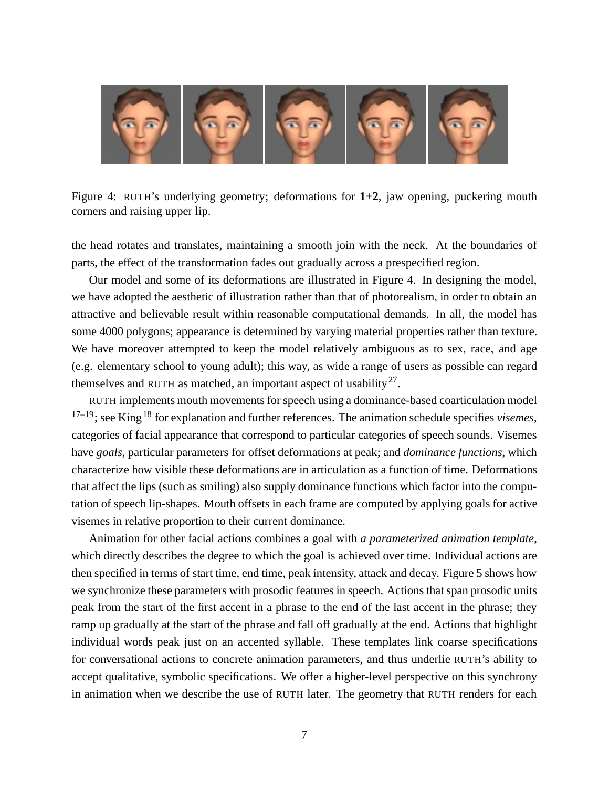

Figure 4: RUTH's underlying geometry; deformations for **1+2**, jaw opening, puckering mouth corners and raising upper lip.

the head rotates and translates, maintaining a smooth join with the neck. At the boundaries of parts, the effect of the transformation fades out gradually across a prespecified region.

Our model and some of its deformations are illustrated in Figure 4. In designing the model, we have adopted the aesthetic of illustration rather than that of photorealism, in order to obtain an attractive and believable result within reasonable computational demands. In all, the model has some 4000 polygons; appearance is determined by varying material properties rather than texture. We have moreover attempted to keep the model relatively ambiguous as to sex, race, and age (e.g. elementary school to young adult); this way, as wide a range of users as possible can regard themselves and RUTH as matched, an important aspect of usability<sup>27</sup>.

RUTH implements mouth movements for speech using a dominance-based coarticulation model <sup>17–19</sup>; see King<sup>18</sup> for explanation and further references. The animation schedule specifies *visemes*, categories of facial appearance that correspond to particular categories of speech sounds. Visemes have *goals*, particular parameters for offset deformations at peak; and *dominance functions*, which characterize how visible these deformations are in articulation as a function of time. Deformations that affect the lips (such as smiling) also supply dominance functions which factor into the computation of speech lip-shapes. Mouth offsets in each frame are computed by applying goals for active visemes in relative proportion to their current dominance.

Animation for other facial actions combines a goal with *a parameterized animation template*, which directly describes the degree to which the goal is achieved over time. Individual actions are then specified in terms of start time, end time, peak intensity, attack and decay. Figure 5 shows how we synchronize these parameters with prosodic features in speech. Actions that span prosodic units peak from the start of the first accent in a phrase to the end of the last accent in the phrase; they ramp up gradually at the start of the phrase and fall off gradually at the end. Actions that highlight individual words peak just on an accented syllable. These templates link coarse specifications for conversational actions to concrete animation parameters, and thus underlie RUTH's ability to accept qualitative, symbolic specifications. We offer a higher-level perspective on this synchrony in animation when we describe the use of RUTH later. The geometry that RUTH renders for each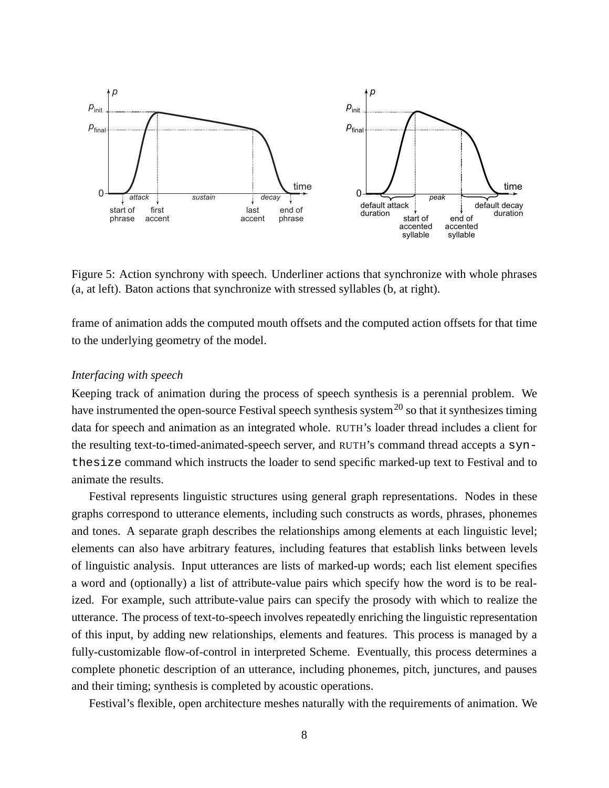

Figure 5: Action synchrony with speech. Underliner actions that synchronize with whole phrases (a, at left). Baton actions that synchronize with stressed syllables (b, at right).

frame of animation adds the computed mouth offsets and the computed action offsets for that time to the underlying geometry of the model.

#### *Interfacing with speech*

Keeping track of animation during the process of speech synthesis is a perennial problem. We have instrumented the open-source Festival speech synthesis system<sup>20</sup> so that it synthesizes timing data for speech and animation as an integrated whole. RUTH's loader thread includes a client for the resulting text-to-timed-animated-speech server, and RUTH's command thread accepts a synthesize command which instructs the loader to send specific marked-up text to Festival and to animate the results.

Festival represents linguistic structures using general graph representations. Nodes in these graphs correspond to utterance elements, including such constructs as words, phrases, phonemes and tones. A separate graph describes the relationships among elements at each linguistic level; elements can also have arbitrary features, including features that establish links between levels of linguistic analysis. Input utterances are lists of marked-up words; each list element specifies a word and (optionally) a list of attribute-value pairs which specify how the word is to be realized. For example, such attribute-value pairs can specify the prosody with which to realize the utterance. The process of text-to-speech involves repeatedly enriching the linguistic representation of this input, by adding new relationships, elements and features. This process is managed by a fully-customizable flow-of-control in interpreted Scheme. Eventually, this process determines a complete phonetic description of an utterance, including phonemes, pitch, junctures, and pauses and their timing; synthesis is completed by acoustic operations.

Festival's flexible, open architecture meshes naturally with the requirements of animation. We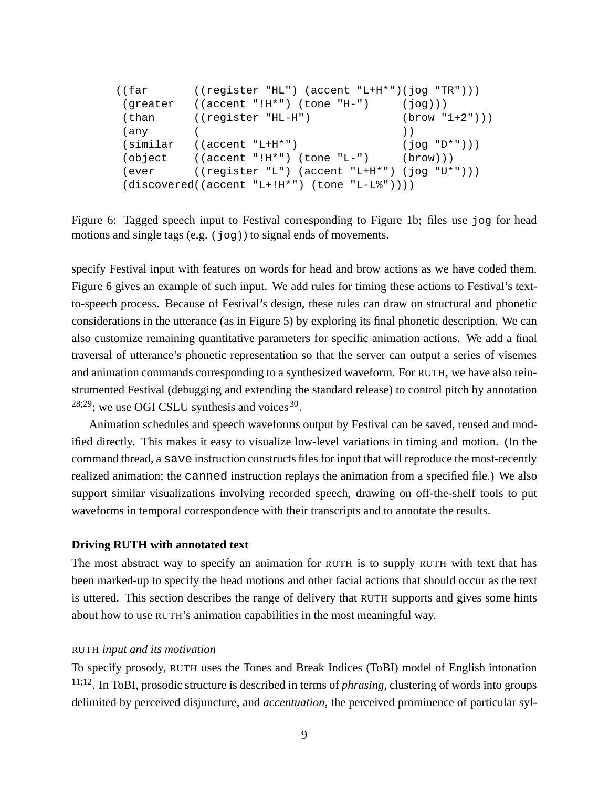```
((far \t( (register "HL") \t( accent "L+H*") (jog "TR"))))(greater ((accent "!H<sup>*</sup>") (tone "H-") (jog)))
(than ((register "HL-H") (brow "1+2"))\hspace{1.6cm} \text{(any} \hspace{1.5cm} \text{(1)}(\sinilar \quad ((account \quad "L+H^*") \qquad () \qquad () \qquad () \qquad () \qquad ()(object ((accent "!H*") (tone "L-") (brow)))
(ever ((register "L") (accent "L+H*") (jog "U*")))
 (discovered((accent "L+!H*") (tone "L-L%"))))
```
Figure 6: Tagged speech input to Festival corresponding to Figure 1b; files use jog for head motions and single tags (e.g.  $(jog)$ ) to signal ends of movements.

specify Festival input with features on words for head and brow actions as we have coded them. Figure 6 gives an example of such input. We add rules for timing these actions to Festival's textto-speech process. Because of Festival's design, these rules can draw on structural and phonetic considerations in the utterance (as in Figure 5) by exploring its final phonetic description. We can also customize remaining quantitative parameters for specific animation actions. We add a final traversal of utterance's phonetic representation so that the server can output a series of visemes and animation commands corresponding to a synthesized waveform. For RUTH, we have also reinstrumented Festival (debugging and extending the standard release) to control pitch by annotation  $28,29$ ; we use OGI CSLU synthesis and voices  $30$ .

Animation schedules and speech waveforms output by Festival can be saved, reused and modified directly. This makes it easy to visualize low-level variations in timing and motion. (In the command thread, a save instruction constructs files for input that will reproduce the most-recently realized animation; the canned instruction replays the animation from a specified file.) We also support similar visualizations involving recorded speech, drawing on off-the-shelf tools to put waveforms in temporal correspondence with their transcripts and to annotate the results.

#### **Driving RUTH with annotated text**

The most abstract way to specify an animation for RUTH is to supply RUTH with text that has been marked-up to specify the head motions and other facial actions that should occur as the text is uttered. This section describes the range of delivery that RUTH supports and gives some hints about how to use RUTH's animation capabilities in the most meaningful way.

#### RUTH *input and its motivation*

To specify prosody, RUTH uses the Tones and Break Indices (ToBI) model of English intonation 11;12. In ToBI, prosodic structure is described in terms of *phrasing*, clustering of words into groups delimited by perceived disjuncture, and *accentuation*, the perceived prominence of particular syl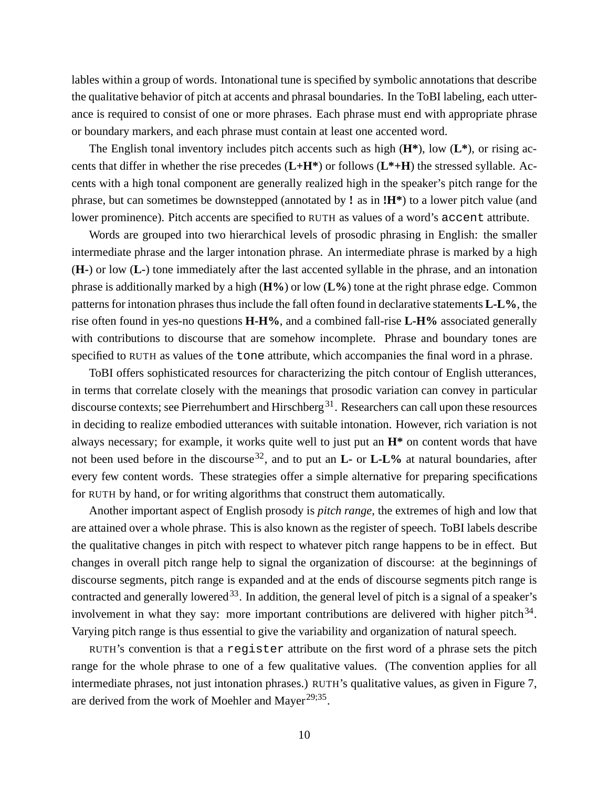lables within a group of words. Intonational tune is specified by symbolic annotations that describe the qualitative behavior of pitch at accents and phrasal boundaries. In the ToBI labeling, each utterance is required to consist of one or more phrases. Each phrase must end with appropriate phrase or boundary markers, and each phrase must contain at least one accented word.

The English tonal inventory includes pitch accents such as high (**H\***), low (**L\***), or rising accents that differ in whether the rise precedes (**L+H\***) or follows (**L\*+H**) the stressed syllable. Accents with a high tonal component are generally realized high in the speaker's pitch range for the phrase, but can sometimes be downstepped (annotated by **!** as in **!H\***) to a lower pitch value (and lower prominence). Pitch accents are specified to RUTH as values of a word's accent attribute.

Words are grouped into two hierarchical levels of prosodic phrasing in English: the smaller intermediate phrase and the larger intonation phrase. An intermediate phrase is marked by a high (**H-**) or low (**L-**) tone immediately after the last accented syllable in the phrase, and an intonation phrase is additionally marked by a high (**H%**) or low (**L%**) tone at the right phrase edge. Common patterns for intonation phrases thus include the fall often found in declarative statements **L-L%**, the rise often found in yes-no questions **H-H%**, and a combined fall-rise **L-H%** associated generally with contributions to discourse that are somehow incomplete. Phrase and boundary tones are specified to RUTH as values of the tone attribute, which accompanies the final word in a phrase.

ToBI offers sophisticated resources for characterizing the pitch contour of English utterances, in terms that correlate closely with the meanings that prosodic variation can convey in particular discourse contexts; see Pierrehumbert and Hirschberg<sup>31</sup>. Researchers can call upon these resources in deciding to realize embodied utterances with suitable intonation. However, rich variation is not always necessary; for example, it works quite well to just put an **H\*** on content words that have not been used before in the discourse<sup>32</sup>, and to put an **L**- or **L-L%** at natural boundaries, after every few content words. These strategies offer a simple alternative for preparing specifications for RUTH by hand, or for writing algorithms that construct them automatically.

Another important aspect of English prosody is *pitch range*, the extremes of high and low that are attained over a whole phrase. This is also known as the register of speech. ToBI labels describe the qualitative changes in pitch with respect to whatever pitch range happens to be in effect. But changes in overall pitch range help to signal the organization of discourse: at the beginnings of discourse segments, pitch range is expanded and at the ends of discourse segments pitch range is contracted and generally lowered<sup>33</sup>. In addition, the general level of pitch is a signal of a speaker's involvement in what they say: more important contributions are delivered with higher pitch $34$ . Varying pitch range is thus essential to give the variability and organization of natural speech.

RUTH's convention is that a register attribute on the first word of a phrase sets the pitch range for the whole phrase to one of a few qualitative values. (The convention applies for all intermediate phrases, not just intonation phrases.) RUTH's qualitative values, as given in Figure 7, are derived from the work of Moehler and Mayer<sup>29;35</sup>.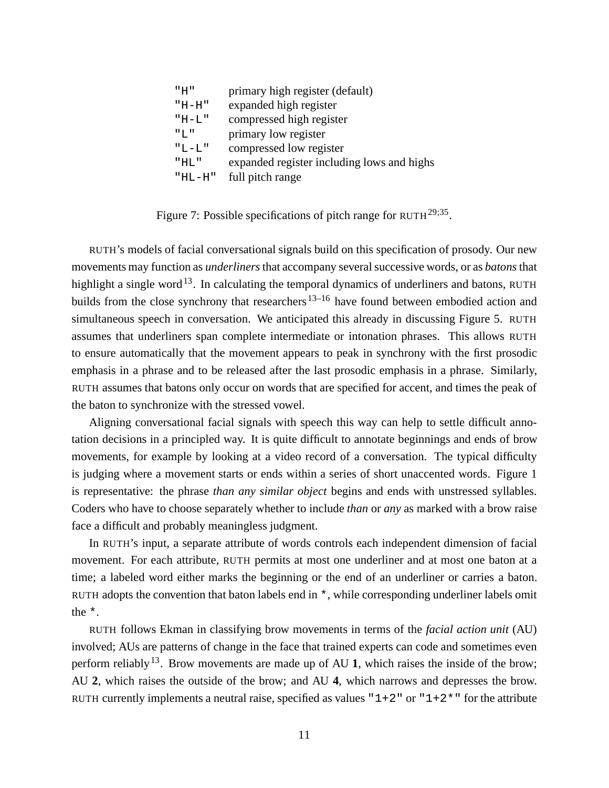| "H"     | primary high register (default)            |
|---------|--------------------------------------------|
| "H-H"   | expanded high register                     |
| $"H-L"$ | compressed high register                   |
| "L"     | primary low register                       |
| $"L-L"$ | compressed low register                    |
| " HL "  | expanded register including lows and highs |
| "HI.-H" | full pitch range                           |

Figure 7: Possible specifications of pitch range for  $RUTH^{29;35}$ .

RUTH's models of facial conversational signals build on this specification of prosody. Our new movements may function as *underliners*that accompany several successive words, or as *batons*that highlight a single word<sup>13</sup>. In calculating the temporal dynamics of underliners and batons, RUTH builds from the close synchrony that researchers<sup>13–16</sup> have found between embodied action and simultaneous speech in conversation. We anticipated this already in discussing Figure 5. RUTH assumes that underliners span complete intermediate or intonation phrases. This allows RUTH to ensure automatically that the movement appears to peak in synchrony with the first prosodic emphasis in a phrase and to be released after the last prosodic emphasis in a phrase. Similarly, RUTH assumes that batons only occur on words that are specified for accent, and times the peak of the baton to synchronize with the stressed vowel.

Aligning conversational facial signals with speech this way can help to settle difficult annotation decisions in a principled way. It is quite difficult to annotate beginnings and ends of brow movements, for example by looking at a video record of a conversation. The typical difficulty is judging where a movement starts or ends within a series of short unaccented words. Figure 1 is representative: the phrase *than any similar object* begins and ends with unstressed syllables. Coders who have to choose separately whether to include *than* or *any* as marked with a brow raise face a difficult and probably meaningless judgment.

In RUTH's input, a separate attribute of words controls each independent dimension of facial movement. For each attribute, RUTH permits at most one underliner and at most one baton at a time; a labeled word either marks the beginning or the end of an underliner or carries a baton. RUTH adopts the convention that baton labels end in  $\star$ , while corresponding underliner labels omit the \*.

RUTH follows Ekman in classifying brow movements in terms of the *facial action unit* (AU) involved; AUs are patterns of change in the face that trained experts can code and sometimes even perform reliably  $^{13}$ . Brow movements are made up of AU 1, which raises the inside of the brow; AU **2**, which raises the outside of the brow; and AU **4**, which narrows and depresses the brow. RUTH currently implements a neutral raise, specified as values " $1+2$ " or " $1+2*$ " for the attribute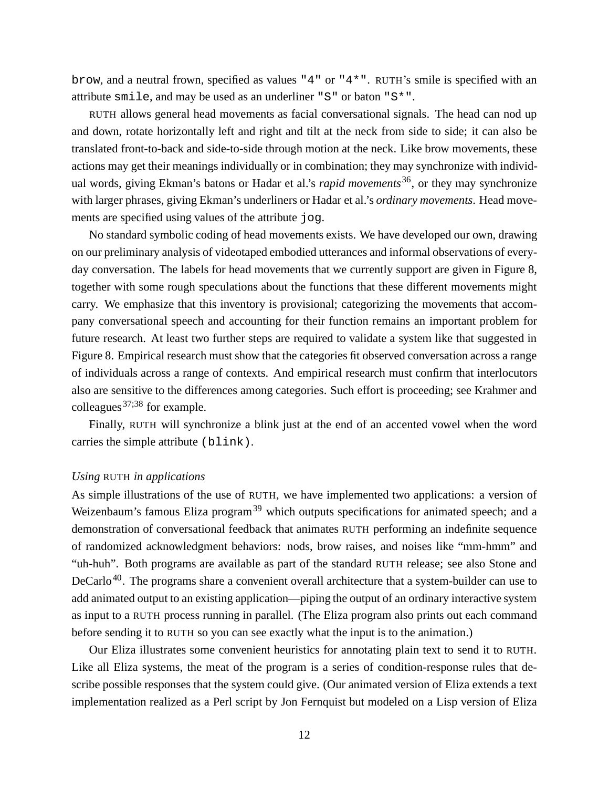brow, and a neutral frown, specified as values "4" or "4\*". RUTH's smile is specified with an attribute smile, and may be used as an underliner "S" or baton "S\*".

RUTH allows general head movements as facial conversational signals. The head can nod up and down, rotate horizontally left and right and tilt at the neck from side to side; it can also be translated front-to-back and side-to-side through motion at the neck. Like brow movements, these actions may get their meanings individually or in combination; they may synchronize with individual words, giving Ekman's batons or Hadar et al.'s *rapid movements*36, or they may synchronize with larger phrases, giving Ekman's underliners or Hadar et al.'s *ordinary movements*. Head movements are specified using values of the attribute jog.

No standard symbolic coding of head movements exists. We have developed our own, drawing on our preliminary analysis of videotaped embodied utterances and informal observations of everyday conversation. The labels for head movements that we currently support are given in Figure 8, together with some rough speculations about the functions that these different movements might carry. We emphasize that this inventory is provisional; categorizing the movements that accompany conversational speech and accounting for their function remains an important problem for future research. At least two further steps are required to validate a system like that suggested in Figure 8. Empirical research must show that the categories fit observed conversation across a range of individuals across a range of contexts. And empirical research must confirm that interlocutors also are sensitive to the differences among categories. Such effort is proceeding; see Krahmer and colleagues  $37;38$  for example.

Finally, RUTH will synchronize a blink just at the end of an accented vowel when the word carries the simple attribute (blink).

#### *Using* RUTH *in applications*

As simple illustrations of the use of RUTH, we have implemented two applications: a version of Weizenbaum's famous Eliza program<sup>39</sup> which outputs specifications for animated speech; and a demonstration of conversational feedback that animates RUTH performing an indefinite sequence of randomized acknowledgment behaviors: nods, brow raises, and noises like "mm-hmm" and "uh-huh". Both programs are available as part of the standard RUTH release; see also Stone and  $DeCarlo<sup>40</sup>$ . The programs share a convenient overall architecture that a system-builder can use to add animated output to an existing application—piping the output of an ordinary interactive system as input to a RUTH process running in parallel. (The Eliza program also prints out each command before sending it to RUTH so you can see exactly what the input is to the animation.)

Our Eliza illustrates some convenient heuristics for annotating plain text to send it to RUTH. Like all Eliza systems, the meat of the program is a series of condition-response rules that describe possible responses that the system could give. (Our animated version of Eliza extends a text implementation realized as a Perl script by Jon Fernquist but modeled on a Lisp version of Eliza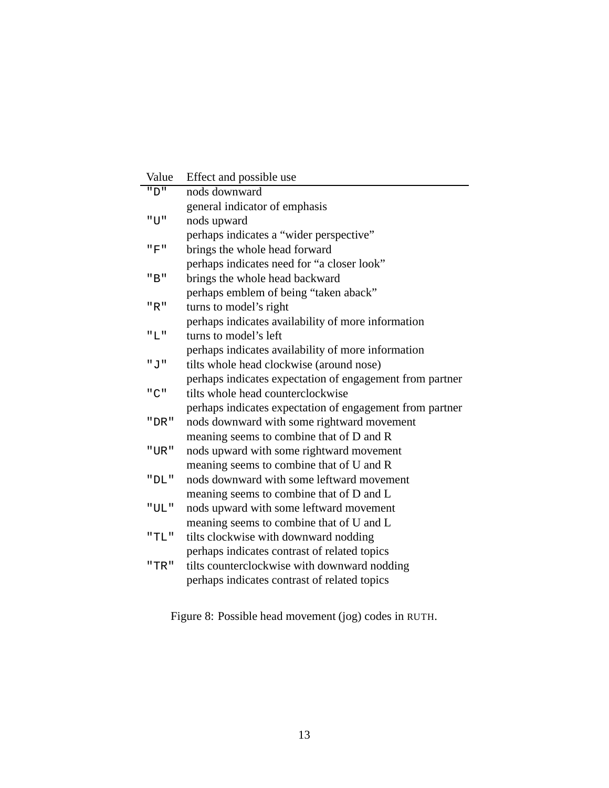| Value | Effect and possible use                                  |
|-------|----------------------------------------------------------|
| "D"   | nods downward                                            |
|       | general indicator of emphasis                            |
| "U"   | nods upward                                              |
|       | perhaps indicates a "wider perspective"                  |
| "F"   | brings the whole head forward                            |
|       | perhaps indicates need for "a closer look"               |
| "B"   | brings the whole head backward                           |
|       | perhaps emblem of being "taken aback"                    |
| "R"   | turns to model's right                                   |
|       | perhaps indicates availability of more information       |
| "L"   | turns to model's left                                    |
|       | perhaps indicates availability of more information       |
| " ர " | tilts whole head clockwise (around nose)                 |
|       | perhaps indicates expectation of engagement from partner |
| "C"   | tilts whole head counterclockwise                        |
|       | perhaps indicates expectation of engagement from partner |
| "DR"  | nods downward with some rightward movement               |
|       | meaning seems to combine that of D and R                 |
| "UR"  | nods upward with some rightward movement                 |
|       | meaning seems to combine that of U and R                 |
| "DL"  | nods downward with some leftward movement                |
|       | meaning seems to combine that of D and L                 |
| "UL"  | nods upward with some leftward movement                  |
|       | meaning seems to combine that of U and L                 |
| "TL"  | tilts clockwise with downward nodding                    |
|       | perhaps indicates contrast of related topics             |
| "TR"  | tilts counterclockwise with downward nodding             |
|       | perhaps indicates contrast of related topics             |

Figure 8: Possible head movement (jog) codes in RUTH.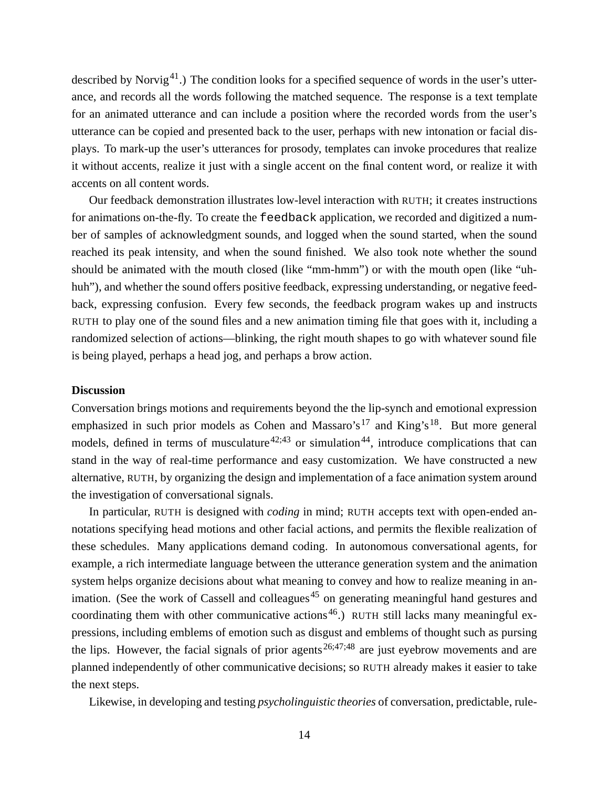described by Norvig<sup>41</sup>.) The condition looks for a specified sequence of words in the user's utterance, and records all the words following the matched sequence. The response is a text template for an animated utterance and can include a position where the recorded words from the user's utterance can be copied and presented back to the user, perhaps with new intonation or facial displays. To mark-up the user's utterances for prosody, templates can invoke procedures that realize it without accents, realize it just with a single accent on the final content word, or realize it with accents on all content words.

Our feedback demonstration illustrates low-level interaction with RUTH; it creates instructions for animations on-the-fly. To create the feedback application, we recorded and digitized a number of samples of acknowledgment sounds, and logged when the sound started, when the sound reached its peak intensity, and when the sound finished. We also took note whether the sound should be animated with the mouth closed (like "mm-hmm") or with the mouth open (like "uhhuh"), and whether the sound offers positive feedback, expressing understanding, or negative feedback, expressing confusion. Every few seconds, the feedback program wakes up and instructs RUTH to play one of the sound files and a new animation timing file that goes with it, including a randomized selection of actions—blinking, the right mouth shapes to go with whatever sound file is being played, perhaps a head jog, and perhaps a brow action.

#### **Discussion**

Conversation brings motions and requirements beyond the the lip-synch and emotional expression emphasized in such prior models as Cohen and Massaro's<sup>17</sup> and King's<sup>18</sup>. But more general models, defined in terms of musculature<sup>42;43</sup> or simulation<sup>44</sup>, introduce complications that can stand in the way of real-time performance and easy customization. We have constructed a new alternative, RUTH, by organizing the design and implementation of a face animation system around the investigation of conversational signals.

In particular, RUTH is designed with *coding* in mind; RUTH accepts text with open-ended annotations specifying head motions and other facial actions, and permits the flexible realization of these schedules. Many applications demand coding. In autonomous conversational agents, for example, a rich intermediate language between the utterance generation system and the animation system helps organize decisions about what meaning to convey and how to realize meaning in animation. (See the work of Cassell and colleagues<sup>45</sup> on generating meaningful hand gestures and coordinating them with other communicative actions<sup>46</sup>.) RUTH still lacks many meaningful expressions, including emblems of emotion such as disgust and emblems of thought such as pursing the lips. However, the facial signals of prior agents<sup>26;47;48</sup> are just eyebrow movements and are planned independently of other communicative decisions; so RUTH already makes it easier to take the next steps.

Likewise, in developing and testing *psycholinguistic theories* of conversation, predictable, rule-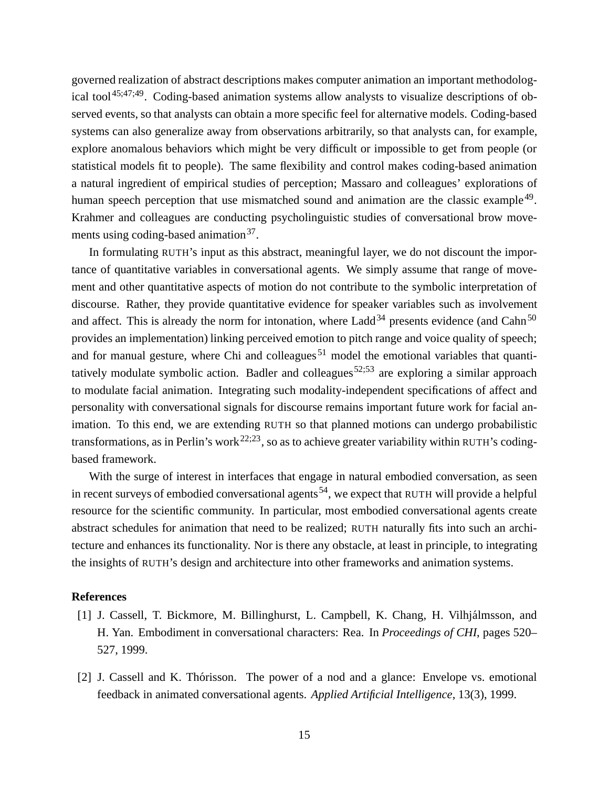governed realization of abstract descriptions makes computer animation an important methodological tool<sup>45;47;49</sup>. Coding-based animation systems allow analysts to visualize descriptions of observed events, so that analysts can obtain a more specific feel for alternative models. Coding-based systems can also generalize away from observations arbitrarily, so that analysts can, for example, explore anomalous behaviors which might be very difficult or impossible to get from people (or statistical models fit to people). The same flexibility and control makes coding-based animation a natural ingredient of empirical studies of perception; Massaro and colleagues' explorations of human speech perception that use mismatched sound and animation are the classic example<sup>49</sup>. Krahmer and colleagues are conducting psycholinguistic studies of conversational brow movements using coding-based animation  $37$ .

In formulating RUTH's input as this abstract, meaningful layer, we do not discount the importance of quantitative variables in conversational agents. We simply assume that range of movement and other quantitative aspects of motion do not contribute to the symbolic interpretation of discourse. Rather, they provide quantitative evidence for speaker variables such as involvement and affect. This is already the norm for intonation, where  $Ladd^{34}$  presents evidence (and Cahn<sup>50</sup>) provides an implementation) linking perceived emotion to pitch range and voice quality of speech; and for manual gesture, where Chi and colleagues<sup>51</sup> model the emotional variables that quantitatively modulate symbolic action. Badler and colleagues<sup>52;53</sup> are exploring a similar approach to modulate facial animation. Integrating such modality-independent specifications of affect and personality with conversational signals for discourse remains important future work for facial animation. To this end, we are extending RUTH so that planned motions can undergo probabilistic transformations, as in Perlin's work<sup>22;23</sup>, so as to achieve greater variability within RUTH's codingbased framework.

With the surge of interest in interfaces that engage in natural embodied conversation, as seen in recent surveys of embodied conversational agents<sup>54</sup>, we expect that RUTH will provide a helpful resource for the scientific community. In particular, most embodied conversational agents create abstract schedules for animation that need to be realized; RUTH naturally fits into such an architecture and enhances its functionality. Nor is there any obstacle, at least in principle, to integrating the insights of RUTH's design and architecture into other frameworks and animation systems.

## **References**

- [1] J. Cassell, T. Bickmore, M. Billinghurst, L. Campbell, K. Chang, H. Vilhjálmsson, and H. Yan. Embodiment in conversational characters: Rea. In *Proceedings of CHI*, pages 520– 527, 1999.
- [2] J. Cassell and K. Thórisson. The power of a nod and a glance: Envelope vs. emotional feedback in animated conversational agents. *Applied Artificial Intelligence*, 13(3), 1999.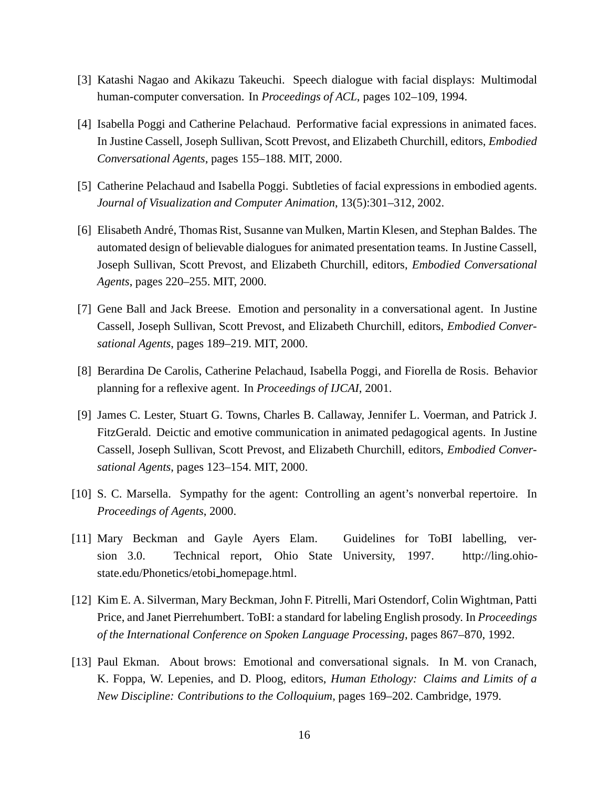- [3] Katashi Nagao and Akikazu Takeuchi. Speech dialogue with facial displays: Multimodal human-computer conversation. In *Proceedings of ACL*, pages 102–109, 1994.
- [4] Isabella Poggi and Catherine Pelachaud. Performative facial expressions in animated faces. In Justine Cassell, Joseph Sullivan, Scott Prevost, and Elizabeth Churchill, editors, *Embodied Conversational Agents*, pages 155–188. MIT, 2000.
- [5] Catherine Pelachaud and Isabella Poggi. Subtleties of facial expressions in embodied agents. *Journal of Visualization and Computer Animation*, 13(5):301–312, 2002.
- [6] Elisabeth André, Thomas Rist, Susanne van Mulken, Martin Klesen, and Stephan Baldes. The automated design of believable dialogues for animated presentation teams. In Justine Cassell, Joseph Sullivan, Scott Prevost, and Elizabeth Churchill, editors, *Embodied Conversational Agents*, pages 220–255. MIT, 2000.
- [7] Gene Ball and Jack Breese. Emotion and personality in a conversational agent. In Justine Cassell, Joseph Sullivan, Scott Prevost, and Elizabeth Churchill, editors, *Embodied Conversational Agents*, pages 189–219. MIT, 2000.
- [8] Berardina De Carolis, Catherine Pelachaud, Isabella Poggi, and Fiorella de Rosis. Behavior planning for a reflexive agent. In *Proceedings of IJCAI*, 2001.
- [9] James C. Lester, Stuart G. Towns, Charles B. Callaway, Jennifer L. Voerman, and Patrick J. FitzGerald. Deictic and emotive communication in animated pedagogical agents. In Justine Cassell, Joseph Sullivan, Scott Prevost, and Elizabeth Churchill, editors, *Embodied Conversational Agents*, pages 123–154. MIT, 2000.
- [10] S. C. Marsella. Sympathy for the agent: Controlling an agent's nonverbal repertoire. In *Proceedings of Agents*, 2000.
- [11] Mary Beckman and Gayle Ayers Elam. Guidelines for ToBI labelling, version 3.0. Technical report, Ohio State University, 1997. http://ling.ohiostate.edu/Phonetics/etobi homepage.html.
- [12] Kim E. A. Silverman, Mary Beckman, John F. Pitrelli, Mari Ostendorf, Colin Wightman, Patti Price, and Janet Pierrehumbert. ToBI: a standard for labeling English prosody. In *Proceedings of the International Conference on Spoken Language Processing*, pages 867–870, 1992.
- [13] Paul Ekman. About brows: Emotional and conversational signals. In M. von Cranach, K. Foppa, W. Lepenies, and D. Ploog, editors, *Human Ethology: Claims and Limits of a New Discipline: Contributions to the Colloquium*, pages 169–202. Cambridge, 1979.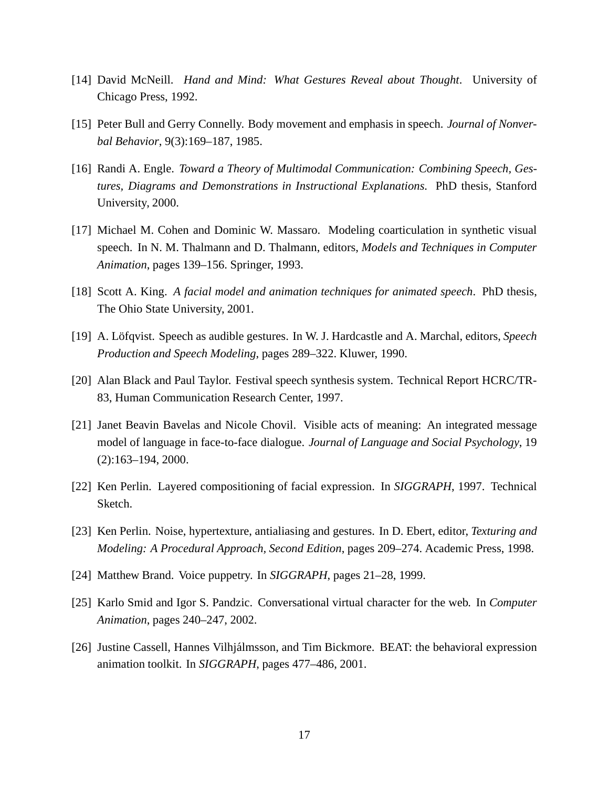- [14] David McNeill. *Hand and Mind: What Gestures Reveal about Thought*. University of Chicago Press, 1992.
- [15] Peter Bull and Gerry Connelly. Body movement and emphasis in speech. *Journal of Nonverbal Behavior*, 9(3):169–187, 1985.
- [16] Randi A. Engle. *Toward a Theory of Multimodal Communication: Combining Speech, Gestures, Diagrams and Demonstrations in Instructional Explanations*. PhD thesis, Stanford University, 2000.
- [17] Michael M. Cohen and Dominic W. Massaro. Modeling coarticulation in synthetic visual speech. In N. M. Thalmann and D. Thalmann, editors, *Models and Techniques in Computer Animation*, pages 139–156. Springer, 1993.
- [18] Scott A. King. *A facial model and animation techniques for animated speech*. PhD thesis, The Ohio State University, 2001.
- [19] A. L¨ofqvist. Speech as audible gestures. In W. J. Hardcastle and A. Marchal, editors, *Speech Production and Speech Modeling*, pages 289–322. Kluwer, 1990.
- [20] Alan Black and Paul Taylor. Festival speech synthesis system. Technical Report HCRC/TR-83, Human Communication Research Center, 1997.
- [21] Janet Beavin Bavelas and Nicole Chovil. Visible acts of meaning: An integrated message model of language in face-to-face dialogue. *Journal of Language and Social Psychology*, 19 (2):163–194, 2000.
- [22] Ken Perlin. Layered compositioning of facial expression. In *SIGGRAPH*, 1997. Technical Sketch.
- [23] Ken Perlin. Noise, hypertexture, antialiasing and gestures. In D. Ebert, editor, *Texturing and Modeling: A Procedural Approach, Second Edition*, pages 209–274. Academic Press, 1998.
- [24] Matthew Brand. Voice puppetry. In *SIGGRAPH*, pages 21–28, 1999.
- [25] Karlo Smid and Igor S. Pandzic. Conversational virtual character for the web. In *Computer Animation*, pages 240–247, 2002.
- [26] Justine Cassell, Hannes Vilhjálmsson, and Tim Bickmore. BEAT: the behavioral expression animation toolkit. In *SIGGRAPH*, pages 477–486, 2001.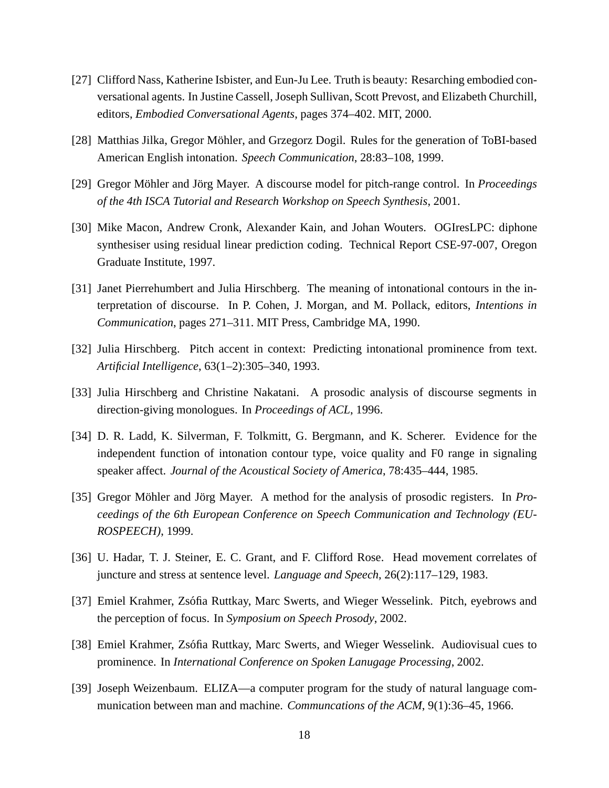- [27] Clifford Nass, Katherine Isbister, and Eun-Ju Lee. Truth is beauty: Resarching embodied conversational agents. In Justine Cassell, Joseph Sullivan, Scott Prevost, and Elizabeth Churchill, editors, *Embodied Conversational Agents*, pages 374–402. MIT, 2000.
- [28] Matthias Jilka, Gregor Möhler, and Grzegorz Dogil. Rules for the generation of ToBI-based American English intonation. *Speech Communication*, 28:83–108, 1999.
- [29] Gregor Möhler and Jörg Mayer. A discourse model for pitch-range control. In *Proceedings of the 4th ISCA Tutorial and Research Workshop on Speech Synthesis*, 2001.
- [30] Mike Macon, Andrew Cronk, Alexander Kain, and Johan Wouters. OGIresLPC: diphone synthesiser using residual linear prediction coding. Technical Report CSE-97-007, Oregon Graduate Institute, 1997.
- [31] Janet Pierrehumbert and Julia Hirschberg. The meaning of intonational contours in the interpretation of discourse. In P. Cohen, J. Morgan, and M. Pollack, editors, *Intentions in Communication*, pages 271–311. MIT Press, Cambridge MA, 1990.
- [32] Julia Hirschberg. Pitch accent in context: Predicting intonational prominence from text. *Artificial Intelligence*, 63(1–2):305–340, 1993.
- [33] Julia Hirschberg and Christine Nakatani. A prosodic analysis of discourse segments in direction-giving monologues. In *Proceedings of ACL*, 1996.
- [34] D. R. Ladd, K. Silverman, F. Tolkmitt, G. Bergmann, and K. Scherer. Evidence for the independent function of intonation contour type, voice quality and F0 range in signaling speaker affect. *Journal of the Acoustical Society of America*, 78:435–444, 1985.
- [35] Gregor Möhler and Jörg Mayer. A method for the analysis of prosodic registers. In *Proceedings of the 6th European Conference on Speech Communication and Technology (EU-ROSPEECH)*, 1999.
- [36] U. Hadar, T. J. Steiner, E. C. Grant, and F. Clifford Rose. Head movement correlates of juncture and stress at sentence level. *Language and Speech*, 26(2):117–129, 1983.
- [37] Emiel Krahmer, Zsófia Ruttkay, Marc Swerts, and Wieger Wesselink. Pitch, eyebrows and the perception of focus. In *Symposium on Speech Prosody*, 2002.
- [38] Emiel Krahmer, Zsófia Ruttkay, Marc Swerts, and Wieger Wesselink. Audiovisual cues to prominence. In *International Conference on Spoken Lanugage Processing*, 2002.
- [39] Joseph Weizenbaum. ELIZA—a computer program for the study of natural language communication between man and machine. *Communcations of the ACM*, 9(1):36–45, 1966.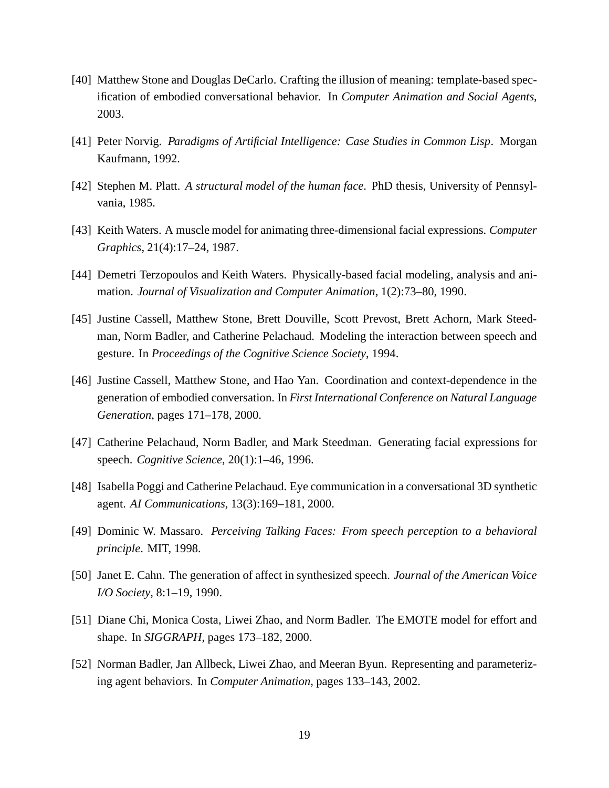- [40] Matthew Stone and Douglas DeCarlo. Crafting the illusion of meaning: template-based specification of embodied conversational behavior. In *Computer Animation and Social Agents*, 2003.
- [41] Peter Norvig. *Paradigms of Artificial Intelligence: Case Studies in Common Lisp*. Morgan Kaufmann, 1992.
- [42] Stephen M. Platt. *A structural model of the human face*. PhD thesis, University of Pennsylvania, 1985.
- [43] Keith Waters. A muscle model for animating three-dimensional facial expressions. *Computer Graphics*, 21(4):17–24, 1987.
- [44] Demetri Terzopoulos and Keith Waters. Physically-based facial modeling, analysis and animation. *Journal of Visualization and Computer Animation*, 1(2):73–80, 1990.
- [45] Justine Cassell, Matthew Stone, Brett Douville, Scott Prevost, Brett Achorn, Mark Steedman, Norm Badler, and Catherine Pelachaud. Modeling the interaction between speech and gesture. In *Proceedings of the Cognitive Science Society*, 1994.
- [46] Justine Cassell, Matthew Stone, and Hao Yan. Coordination and context-dependence in the generation of embodied conversation. In *First International Conference on Natural Language Generation*, pages 171–178, 2000.
- [47] Catherine Pelachaud, Norm Badler, and Mark Steedman. Generating facial expressions for speech. *Cognitive Science*, 20(1):1–46, 1996.
- [48] Isabella Poggi and Catherine Pelachaud. Eye communication in a conversational 3D synthetic agent. *AI Communications*, 13(3):169–181, 2000.
- [49] Dominic W. Massaro. *Perceiving Talking Faces: From speech perception to a behavioral principle*. MIT, 1998.
- [50] Janet E. Cahn. The generation of affect in synthesized speech. *Journal of the American Voice I/O Society*, 8:1–19, 1990.
- [51] Diane Chi, Monica Costa, Liwei Zhao, and Norm Badler. The EMOTE model for effort and shape. In *SIGGRAPH*, pages 173–182, 2000.
- [52] Norman Badler, Jan Allbeck, Liwei Zhao, and Meeran Byun. Representing and parameterizing agent behaviors. In *Computer Animation*, pages 133–143, 2002.